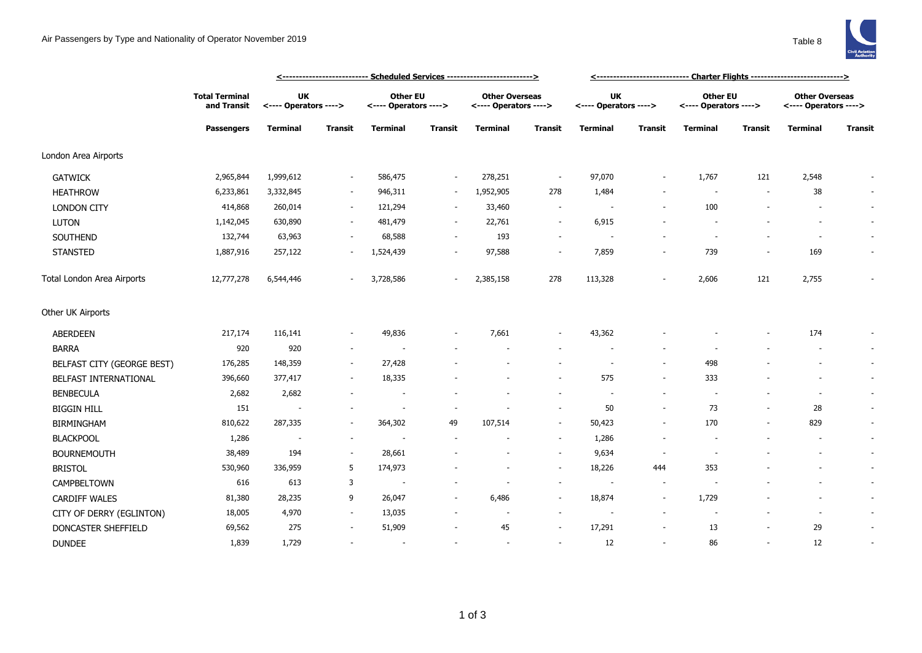## Air Passengers by Type and Nationality of Operator November 2019 Table 8



|                            | <b>Total Terminal</b><br>and Transit<br><b>Passengers</b> |                                    | <-------------------------- Scheduled Services ------------------------> |                                          |                          | <----------------------------- Charter Flights ---------------------------> |                          |                                    |                          |                                          |         |                                                |                          |
|----------------------------|-----------------------------------------------------------|------------------------------------|--------------------------------------------------------------------------|------------------------------------------|--------------------------|-----------------------------------------------------------------------------|--------------------------|------------------------------------|--------------------------|------------------------------------------|---------|------------------------------------------------|--------------------------|
|                            |                                                           | <b>UK</b><br><---- Operators ----> |                                                                          | <b>Other EU</b><br><---- Operators ----> |                          | <b>Other Overseas</b><br><---- Operators ---->                              |                          | <b>UK</b><br><---- Operators ----> |                          | <b>Other EU</b><br><---- Operators ----> |         | <b>Other Overseas</b><br><---- Operators ----> |                          |
|                            |                                                           | <b>Terminal</b>                    | <b>Transit</b>                                                           | <b>Terminal</b>                          | Transit                  | <b>Terminal</b>                                                             | Transit                  | <b>Terminal</b>                    | <b>Transit</b>           | Terminal                                 | Transit | <b>Terminal</b>                                | <b>Transit</b>           |
| London Area Airports       |                                                           |                                    |                                                                          |                                          |                          |                                                                             |                          |                                    |                          |                                          |         |                                                |                          |
| <b>GATWICK</b>             | 2,965,844                                                 | 1,999,612                          |                                                                          | 586,475                                  | $\blacksquare$           | 278,251                                                                     | $\overline{\phantom{a}}$ | 97,070                             | $\overline{\phantom{a}}$ | 1,767                                    | 121     | 2,548                                          |                          |
| <b>HEATHROW</b>            | 6,233,861                                                 | 3,332,845                          | $\sim$                                                                   | 946,311                                  | $\overline{\phantom{a}}$ | 1,952,905                                                                   | 278                      | 1,484                              |                          | $\sim$                                   | $\sim$  | 38                                             | $\sim$                   |
| <b>LONDON CITY</b>         | 414,868                                                   | 260,014                            | $\sim$                                                                   | 121,294                                  | $\overline{\phantom{a}}$ | 33,460                                                                      | $\sim$                   |                                    |                          | 100                                      |         |                                                | $\sim$                   |
| <b>LUTON</b>               | 1,142,045                                                 | 630,890                            |                                                                          | 481,479                                  | $\sim$                   | 22,761                                                                      | $\sim$                   | 6,915                              |                          |                                          |         |                                                | $\sim$                   |
| SOUTHEND                   | 132,744                                                   | 63,963                             |                                                                          | 68,588                                   |                          | 193                                                                         | $\sim$                   | $\overline{\phantom{a}}$           |                          |                                          |         | $\overline{\phantom{a}}$                       | $\overline{\phantom{a}}$ |
| <b>STANSTED</b>            | 1,887,916                                                 | 257,122                            |                                                                          | 1,524,439                                |                          | 97,588                                                                      | $\sim$                   | 7,859                              | $\overline{\phantom{a}}$ | 739                                      |         | 169                                            |                          |
| Total London Area Airports | 12,777,278                                                | 6,544,446                          |                                                                          | 3,728,586                                | $\sim$                   | 2,385,158                                                                   | 278                      | 113,328                            | $\overline{\phantom{a}}$ | 2,606                                    | 121     | 2,755                                          |                          |
| Other UK Airports          |                                                           |                                    |                                                                          |                                          |                          |                                                                             |                          |                                    |                          |                                          |         |                                                |                          |
| ABERDEEN                   | 217,174                                                   | 116,141                            |                                                                          | 49,836                                   |                          | 7,661                                                                       | $\overline{\phantom{a}}$ | 43,362                             |                          |                                          |         | 174                                            | $\sim$                   |
| <b>BARRA</b>               | 920                                                       | 920                                |                                                                          |                                          |                          |                                                                             |                          |                                    |                          |                                          |         |                                                | $\overline{\phantom{a}}$ |
| BELFAST CITY (GEORGE BEST) | 176,285                                                   | 148,359                            | $\sim$                                                                   | 27,428                                   |                          |                                                                             |                          | $\overline{a}$                     | $\overline{\phantom{a}}$ | 498                                      |         | $\overline{\phantom{a}}$                       | $\sim$                   |
| BELFAST INTERNATIONAL      | 396,660                                                   | 377,417                            |                                                                          | 18,335                                   |                          |                                                                             |                          | 575                                | $\overline{\phantom{a}}$ | 333                                      |         |                                                | $\sim$                   |
| <b>BENBECULA</b>           | 2,682                                                     | 2,682                              |                                                                          |                                          |                          |                                                                             |                          |                                    |                          |                                          |         | $\sim$                                         | $\sim$                   |
| <b>BIGGIN HILL</b>         | 151                                                       | $\overline{\phantom{a}}$           |                                                                          |                                          |                          |                                                                             | $\sim$                   | 50                                 | $\overline{\phantom{a}}$ | 73                                       |         | 28                                             | $\sim$                   |
| <b>BIRMINGHAM</b>          | 810,622                                                   | 287,335                            |                                                                          | 364,302                                  | 49                       | 107,514                                                                     | $\sim$                   | 50,423                             |                          | 170                                      |         | 829                                            | $\blacksquare$           |
| <b>BLACKPOOL</b>           | 1,286                                                     | $\overline{\phantom{a}}$           |                                                                          |                                          |                          |                                                                             | $\sim$                   | 1,286                              |                          |                                          |         | $\overline{\phantom{a}}$                       | $\sim$                   |
| <b>BOURNEMOUTH</b>         | 38,489                                                    | 194                                |                                                                          | 28,661                                   |                          |                                                                             | $\sim$                   | 9,634                              |                          |                                          |         | $\overline{\phantom{a}}$                       | $\sim$                   |
| <b>BRISTOL</b>             | 530,960                                                   | 336,959                            | 5                                                                        | 174,973                                  |                          |                                                                             | $\overline{\phantom{a}}$ | 18,226                             | 444                      | 353                                      |         |                                                | $\sim$                   |
| CAMPBELTOWN                | 616                                                       | 613                                | 3                                                                        | $\overline{\phantom{a}}$                 |                          |                                                                             | $\overline{\phantom{a}}$ |                                    |                          |                                          |         |                                                | $\overline{\phantom{a}}$ |
| <b>CARDIFF WALES</b>       | 81,380                                                    | 28,235                             | 9                                                                        | 26,047                                   |                          | 6,486                                                                       | $\sim$                   | 18,874                             | $\overline{\phantom{a}}$ | 1,729                                    |         | $\overline{\phantom{a}}$                       | $\sim$                   |
| CITY OF DERRY (EGLINTON)   | 18,005                                                    | 4,970                              | $\sim$                                                                   | 13,035                                   |                          |                                                                             | $\sim$                   |                                    |                          |                                          |         | $\overline{\phantom{a}}$                       |                          |
| DONCASTER SHEFFIELD        | 69,562                                                    | 275                                |                                                                          | 51,909                                   |                          | 45                                                                          |                          | 17,291                             |                          | 13                                       |         | 29                                             | ٠                        |
| <b>DUNDEE</b>              | 1,839                                                     | 1,729                              |                                                                          | $\sim$                                   |                          |                                                                             | $\sim$                   | 12                                 |                          | 86                                       |         | 12                                             | $\sim$                   |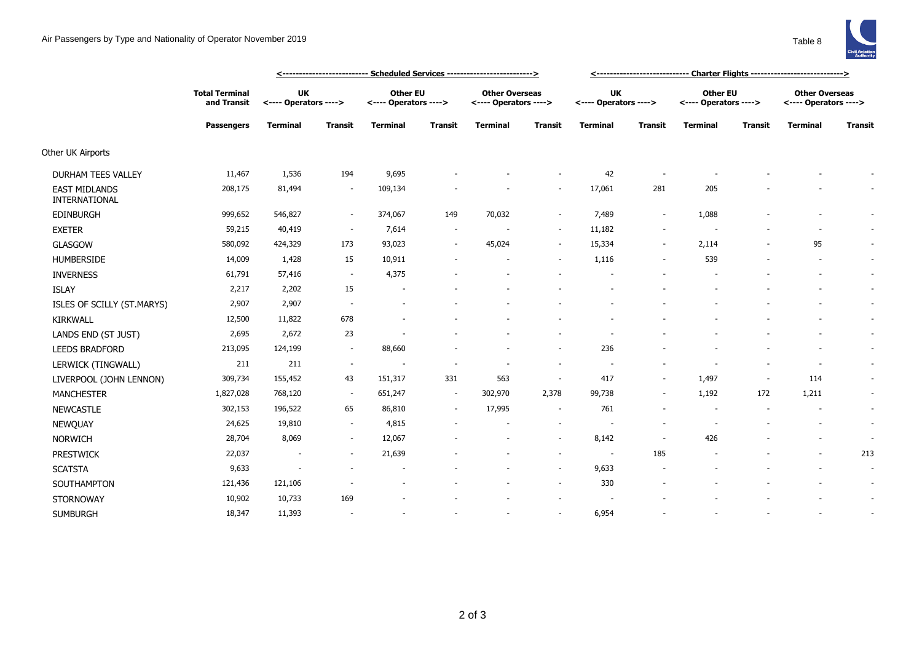

|                                       | <b>Total Terminal</b><br>and Transit<br><b>Passengers</b> | UK<br><---- Operators ----> |                          | <b>Other EU</b><br><---- Operators ----> |                          | <b>Other Overseas</b><br><---- Operators ----> |                          | <b>UK</b><br><---- Operators ----> |                          | <b>Other EU</b><br><---- Operators ----> |                          | <b>Other Overseas</b><br><---- Operators ----> |                          |
|---------------------------------------|-----------------------------------------------------------|-----------------------------|--------------------------|------------------------------------------|--------------------------|------------------------------------------------|--------------------------|------------------------------------|--------------------------|------------------------------------------|--------------------------|------------------------------------------------|--------------------------|
|                                       |                                                           | <b>Terminal</b>             | Transit                  | <b>Terminal</b>                          | <b>Transit</b>           | <b>Terminal</b>                                | <b>Transit</b>           | <b>Terminal</b>                    | <b>Transit</b>           | <b>Terminal</b>                          | <b>Transit</b>           | <b>Terminal</b>                                | <b>Transit</b>           |
| Other UK Airports                     |                                                           |                             |                          |                                          |                          |                                                |                          |                                    |                          |                                          |                          |                                                |                          |
| DURHAM TEES VALLEY                    | 11,467                                                    | 1,536                       | 194                      | 9,695                                    |                          |                                                |                          | 42                                 |                          |                                          |                          |                                                |                          |
| <b>EAST MIDLANDS</b><br>INTERNATIONAL | 208,175                                                   | 81,494                      | $\overline{\phantom{a}}$ | 109,134                                  |                          |                                                | $\overline{\phantom{a}}$ | 17,061                             | 281                      | 205                                      |                          |                                                |                          |
| <b>EDINBURGH</b>                      | 999,652                                                   | 546,827                     | $\sim$                   | 374,067                                  | 149                      | 70,032                                         | $\sim$                   | 7,489                              | $\sim$                   | 1,088                                    |                          |                                                |                          |
| <b>EXETER</b>                         | 59,215                                                    | 40,419                      | $\sim$                   | 7,614                                    | $\overline{\phantom{a}}$ |                                                | $\sim$                   | 11,182                             | $\overline{\phantom{a}}$ |                                          |                          |                                                |                          |
| <b>GLASGOW</b>                        | 580,092                                                   | 424,329                     | 173                      | 93,023                                   | $\sim$                   | 45,024                                         | $\sim$                   | 15,334                             | $\sim$                   | 2,114                                    |                          | 95                                             |                          |
| <b>HUMBERSIDE</b>                     | 14,009                                                    | 1,428                       | 15                       | 10,911                                   |                          |                                                | $\sim$                   | 1,116                              | $\overline{\phantom{a}}$ | 539                                      |                          |                                                |                          |
| <b>INVERNESS</b>                      | 61,791                                                    | 57,416                      | $\sim$                   | 4,375                                    |                          |                                                |                          |                                    |                          |                                          |                          |                                                |                          |
| <b>ISLAY</b>                          | 2,217                                                     | 2,202                       | 15                       |                                          |                          |                                                |                          |                                    |                          |                                          |                          |                                                |                          |
| ISLES OF SCILLY (ST.MARYS)            | 2,907                                                     | 2,907                       | $\sim$                   |                                          |                          |                                                |                          |                                    |                          |                                          |                          |                                                | $\overline{\phantom{a}}$ |
| KIRKWALL                              | 12,500                                                    | 11,822                      | 678                      |                                          |                          |                                                |                          |                                    |                          |                                          |                          |                                                |                          |
| LANDS END (ST JUST)                   | 2,695                                                     | 2,672                       | 23                       |                                          |                          |                                                |                          |                                    |                          |                                          |                          |                                                |                          |
| <b>LEEDS BRADFORD</b>                 | 213,095                                                   | 124,199                     | $\sim$                   | 88,660                                   |                          |                                                | $\sim$                   | 236                                |                          |                                          |                          |                                                |                          |
| LERWICK (TINGWALL)                    | 211                                                       | 211                         | $\sim$                   |                                          |                          |                                                |                          |                                    |                          |                                          |                          |                                                |                          |
| LIVERPOOL (JOHN LENNON)               | 309,734                                                   | 155,452                     | 43                       | 151,317                                  | 331                      | 563                                            | $\overline{\phantom{a}}$ | 417                                | $\sim$                   | 1,497                                    | $\overline{\phantom{a}}$ | 114                                            |                          |
| <b>MANCHESTER</b>                     | 1,827,028                                                 | 768,120                     | $\sim$                   | 651,247                                  | $\sim$                   | 302,970                                        | 2,378                    | 99,738                             | $\sim$                   | 1,192                                    | 172                      | 1,211                                          |                          |
| <b>NEWCASTLE</b>                      | 302,153                                                   | 196,522                     | 65                       | 86,810                                   | $\sim$                   | 17,995                                         | $\overline{\phantom{a}}$ | 761                                |                          |                                          |                          |                                                |                          |
| <b>NEWQUAY</b>                        | 24,625                                                    | 19,810                      | $\sim$                   | 4,815                                    |                          | $\blacksquare$                                 | $\sim$                   | $\sim$                             | $\overline{\phantom{a}}$ |                                          |                          |                                                | $\overline{\phantom{a}}$ |
| <b>NORWICH</b>                        | 28,704                                                    | 8,069                       | $\sim$                   | 12,067                                   |                          |                                                | $\sim$                   | 8,142                              | $\sim$                   | 426                                      |                          |                                                |                          |
| <b>PRESTWICK</b>                      | 22,037                                                    | $\overline{\phantom{a}}$    | $\sim$                   | 21,639                                   |                          |                                                | $\sim$                   | $\sim$                             | 185                      |                                          |                          |                                                | 213                      |
| <b>SCATSTA</b>                        | 9,633                                                     | $\overline{\phantom{a}}$    |                          |                                          |                          |                                                | $\sim$                   | 9,633                              |                          |                                          |                          |                                                | $\overline{\phantom{a}}$ |
| SOUTHAMPTON                           | 121,436                                                   | 121,106                     |                          |                                          |                          |                                                | $\overline{\phantom{a}}$ | 330                                |                          |                                          |                          |                                                |                          |
| <b>STORNOWAY</b>                      | 10,902                                                    | 10,733                      | 169                      |                                          |                          |                                                |                          |                                    |                          |                                          |                          |                                                |                          |
| <b>SUMBURGH</b>                       | 18,347                                                    | 11,393                      |                          |                                          |                          |                                                | $\sim$                   | 6,954                              |                          |                                          |                          |                                                |                          |